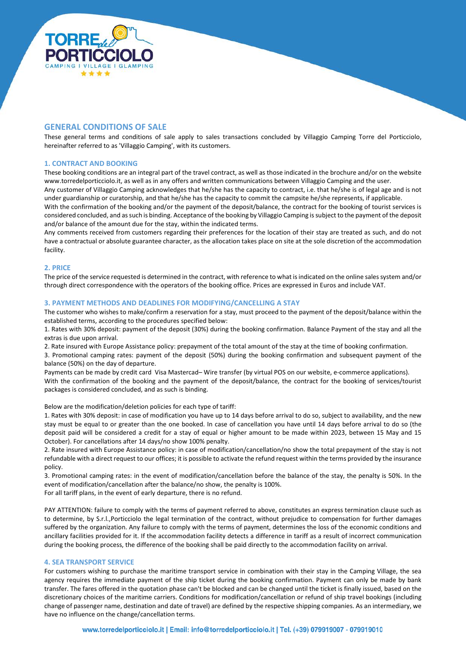

# **GENERAL CONDITIONS OF SALE**

These general terms and conditions of sale apply to sales transactions concluded by Villaggio Camping Torre del Porticciolo, hereinafter referred to as 'Villaggio Camping', with its customers.

### **1. CONTRACT AND BOOKING**

These booking conditions are an integral part of the travel contract, as well as those indicated in the brochure and/or on the website www.torredelporticciolo.it, as well as in any offers and written communications between Villaggio Camping and the user.

Any customer of Villaggio Camping acknowledges that he/she has the capacity to contract, i.e. that he/she is of legal age and is not under guardianship or curatorship, and that he/she has the capacity to commit the campsite he/she represents, if applicable.

With the confirmation of the booking and/or the payment of the deposit/balance, the contract for the booking of tourist services is considered concluded, and as such is binding. Acceptance of the booking by Villaggio Camping is subject to the payment of the deposit and/or balance of the amount due for the stay, within the indicated terms.

Any comments received from customers regarding their preferences for the location of their stay are treated as such, and do not have a contractual or absolute guarantee character, as the allocation takes place on site at the sole discretion of the accommodation facility.

### **2. PRICE**

The price of the service requested is determined in the contract, with reference to what is indicated on the online sales system and/or through direct correspondence with the operators of the booking office. Prices are expressed in Euros and include VAT.

#### **3. PAYMENT METHODS AND DEADLINES FOR MODIFYING/CANCELLING A STAY**

The customer who wishes to make/confirm a reservation for a stay, must proceed to the payment of the deposit/balance within the established terms, according to the procedures specified below:

1. Rates with 30% deposit: payment of the deposit (30%) during the booking confirmation. Balance Payment of the stay and all the extras is due upon arrival.

2. Rate insured with Europe Assistance policy: prepayment of the total amount of the stay at the time of booking confirmation.

3. Promotional camping rates: payment of the deposit (50%) during the booking confirmation and subsequent payment of the balance (50%) on the day of departure.

Payments can be made by credit card Visa Mastercad– Wire transfer (by virtual POS on our website, e-commerce applications). With the confirmation of the booking and the payment of the deposit/balance, the contract for the booking of services/tourist packages is considered concluded, and as such is binding.

Below are the modification/deletion policies for each type of tariff:

1. Rates with 30% deposit: in case of modification you have up to 14 days before arrival to do so, subject to availability, and the new stay must be equal to or greater than the one booked. In case of cancellation you have until 14 days before arrival to do so (the deposit paid will be considered a credit for a stay of equal or higher amount to be made within 2023, between 15 May and 15 October). For cancellations after 14 days/no show 100% penalty.

2. Rate insured with Europe Assistance policy: in case of modification/cancellation/no show the total prepayment of the stay is not refundable with a direct request to our offices; it is possible to activate the refund request within the terms provided by the insurance policy.

3. Promotional camping rates: in the event of modification/cancellation before the balance of the stay, the penalty is 50%. In the event of modification/cancellation after the balance/no show, the penalty is 100%.

For all tariff plans, in the event of early departure, there is no refund.

PAY ATTENTION: failure to comply with the terms of payment referred to above, constitutes an express termination clause such as to determine, by S.r.l.,Porticciolo the legal termination of the contract, without prejudice to compensation for further damages suffered by the organization. Any failure to comply with the terms of payment, determines the loss of the economic conditions and ancillary facilities provided for it. If the accommodation facility detects a difference in tariff as a result of incorrect communication during the booking process, the difference of the booking shall be paid directly to the accommodation facility on arrival.

## **4. SEA TRANSPORT SERVICE**

For customers wishing to purchase the maritime transport service in combination with their stay in the Camping Village, the sea agency requires the immediate payment of the ship ticket during the booking confirmation. Payment can only be made by bank transfer. The fares offered in the quotation phase can't be blocked and can be changed until the ticket is finally issued, based on the discretionary choices of the maritime carriers. Conditions for modification/cancellation or refund of ship travel bookings (including change of passenger name, destination and date of travel) are defined by the respective shipping companies. As an intermediary, we have no influence on the change/cancellation terms.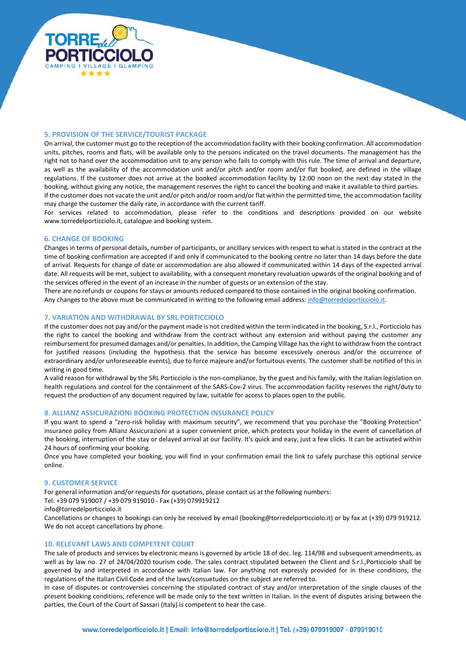

## **5. PROVISION OF THE SERVICE/TOURIST PACKAGE**

On arrival, the customer must go to the reception of the accommodation facility with their booking confirmation. All accommodation units, pitches, rooms and flats, will be available only to the persons indicated on the travel documents. The management has the right not to hand over the accommodation unit to any person who fails to comply with this rule. The time of arrival and departure, as well as the availability of the accommodation unit and/or pitch and/or room and/or flat booked, are defined in the village regulations. If the customer does not arrive at the booked accommodation facility by 12:00 noon on the next day stated in the booking, without giving any notice, the management reserves the right to cancel the booking and make it available to third parties. If the customer does not vacate the unit and/or pitch and/or room and/or flat within the permitted time, the accommodation facility may charge the customer the daily rate, in accordance with the current tariff.

For services related to accommodation, please refer to the conditions and descriptions provided on our website www.torredelporticciolo.it, catalogue and booking system.

### **6. CHANGE OF BOOKING**

Changes in terms of personal details, number of participants, or ancillary services with respect to what is stated in the contract at the time of booking confirmation are accepted if and only if communicated to the booking centre no later than 14 days before the date of arrival. Requests for change of date or accommodation are also allowed if communicated within 14 days of the expected arrival date. All requests will be met, subject to availability, with a consequent monetary revaluation upwards of the original booking and of the services offered in the event of an increase in the number of guests or an extension of the stay.

There are no refunds or coupons for stays or amounts reduced compared to those contained in the original booking confirmation. Any changes to the above must be communicated in writing to the following email address: [info@torredelporticciolo.it.](mailto:info@torredelporticciolo.it)

#### **7. VARIATION AND WITHDRAWAL BY SRL PORTICCIOLO**

If the customer does not pay and/or the payment made is not credited within the term indicated in the booking, S.r.l., Porticciolo has the right to cancel the booking and withdraw from the contract without any extension and without paying the customer any reimbursement for presumed damages and/or penalties. In addition, the Camping Village has the right to withdraw from the contract for justified reasons (including the hypothesis that the service has become excessively onerous and/or the occurrence of extraordinary and/or unforeseeable events), due to force majeure and/or fortuitous events. The customer shall be notified of this in writing in good time.

A valid reason for withdrawal by the SRL Porticciolo is the non-compliance, by the guest and his family, with the Italian legislation on health regulations and control for the containment of the SARS-Cov-2 virus. The accommodation facility reserves the right/duty to request the production of any document required by law, suitable for access to places open to the public.

#### **8. ALLIANZ ASSICURAZIONI BOOKING PROTECTION INSURANCE POLICY**

If you want to spend a "zero-risk holiday with maximum security", we recommend that you purchase the "Booking Protection" insurance policy from Allianz Assicurazioni at a super convenient price, which protects your holiday in the event of cancellation of the booking, interruption of the stay or delayed arrival at our facility. It's quick and easy, just a few clicks. It can be activated within 24 hours of confirming your booking.

Once you have completed your booking, you will find in your confirmation email the link to safely purchase this optional service online.

#### **9. CUSTOMER SERVICE**

For general information and/or requests for quotations, please contact us at the following numbers: Tel: +39 079 919007 / +39 079 919010 - Fax (+39) 079919212 info@torredelporticciolo.it

Cancellations or changes to bookings can only be received by email (booking@torredelporticciolo.it) or by fax at (+39) 079 919212. We do not accept cancellations by phone.

## **10. RELEVANT LAWS AND COMPETENT COURT**

The sale of products and services by electronic means is governed by article 18 of dec. leg. 114/98 and subsequent amendments, as well as by law no. 27 of 24/04/2020 tourism code. The sales contract stipulated between the Client and S.r.l.,Porticciolo shall be governed by and interpreted in accordance with Italian law. For anything not expressly provided for in these conditions, the regulations of the Italian Civil Code and of the laws/consuetudes on the subject are referred to.

In case of disputes or controversies concerning the stipulated contract of stay and/or interpretation of the single clauses of the present booking conditions, reference will be made only to the text written in Italian. In the event of disputes arising between the parties, the Court of the Court of Sassari (Italy) is competent to hear the case.